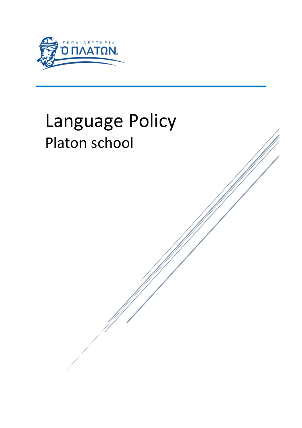

# Language Policy Platon school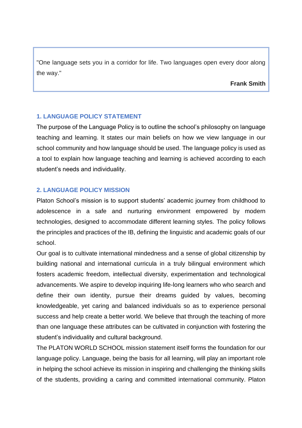"One language sets you in a corridor for life. Two languages open every door along the way."

**Frank Smith**

# **1. LANGUAGE POLICY STATEMENT**

The purpose of the Language Policy is to outline the school's philosophy on language teaching and learning. It states our main beliefs on how we view language in our school community and how language should be used. The language policy is used as a tool to explain how language teaching and learning is achieved according to each student's needs and individuality.

# **2. LANGUAGE POLICY MISSION**

Platon School's mission is to support students' academic journey from childhood to adolescence in a safe and nurturing environment empowered by modern technologies, designed to accommodate different learning styles. The policy follows the principles and practices of the IB, defining the linguistic and academic goals of our school.

Our goal is to cultivate international mindedness and a sense of global citizenship by building national and international curricula in a truly bilingual environment which fosters academic freedom, intellectual diversity, experimentation and technological advancements. We aspire to develop inquiring life-long learners who who search and define their own identity, pursue their dreams guided by values, becoming knowledgeable, yet caring and balanced individuals so as to experience personal success and help create a better world. We believe that through the teaching of more than one language these attributes can be cultivated in conjunction with fostering the student's individuality and cultural background.

The PLATON WORLD SCHOOL mission statement itself forms the foundation for our language policy. Language, being the basis for all learning, will play an important role in helping the school achieve its mission in inspiring and challenging the thinking skills of the students, providing a caring and committed international community. Platon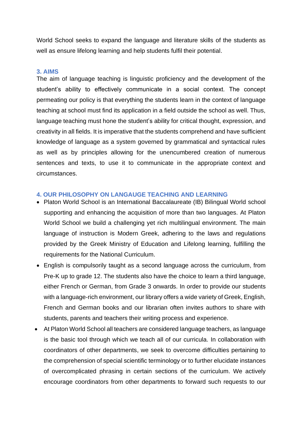World School seeks to expand the language and literature skills of the students as well as ensure lifelong learning and help students fulfil their potential.

#### **3. AIMS**

The aim of language teaching is linguistic proficiency and the development of the student's ability to effectively communicate in a social context. The concept permeating our policy is that everything the students learn in the context of language teaching at school must find its application in a field outside the school as well. Thus, language teaching must hone the student's ability for critical thought, expression, and creativity in all fields. It is imperative that the students comprehend and have sufficient knowledge of language as a system governed by grammatical and syntactical rules as well as by principles allowing for the unencumbered creation of numerous sentences and texts, to use it to communicate in the appropriate context and circumstances.

#### **4. OUR PHILOSOPHY ON LANGAUGE TEACHING AND LEARNING**

- Platon World School is an International Baccalaureate (IB) Bilingual World school supporting and enhancing the acquisition of more than two languages. At Platon World School we build a challenging yet rich multilingual environment. The main language of instruction is Modern Greek, adhering to the laws and regulations provided by the Greek Ministry of Education and Lifelong learning, fulfilling the requirements for the National Curriculum.
- English is compulsorily taught as a second language across the curriculum, from Pre-K up to grade 12. The students also have the choice to learn a third language, either French or German, from Grade 3 onwards. In order to provide our students with a language-rich environment, our library offers a wide variety of Greek, English, French and German books and our librarian often invites authors to share with students, parents and teachers their writing process and experience.
- At Platon World School all teachers are considered language teachers, as language is the basic tool through which we teach all of our curricula. In collaboration with coordinators of other departments, we seek to overcome difficulties pertaining to the comprehension of special scientific terminology or to further elucidate instances of overcomplicated phrasing in certain sections of the curriculum. We actively encourage coordinators from other departments to forward such requests to our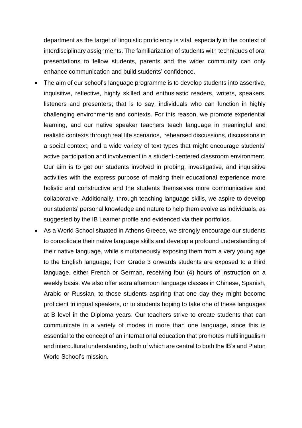department as the target of linguistic proficiency is vital, especially in the context of interdisciplinary assignments. The familiarization of students with techniques of oral presentations to fellow students, parents and the wider community can only enhance communication and build students' confidence.

- The aim of our school's language programme is to develop students into assertive, inquisitive, reflective, highly skilled and enthusiastic readers, writers, speakers, listeners and presenters; that is to say, individuals who can function in highly challenging environments and contexts. For this reason, we promote experiential learning, and our native speaker teachers teach language in meaningful and realistic contexts through real life scenarios, rehearsed discussions, discussions in a social context, and a wide variety of text types that might encourage students' active participation and involvement in a student-centered classroom environment. Our aim is to get our students involved in probing, investigative, and inquisitive activities with the express purpose of making their educational experience more holistic and constructive and the students themselves more communicative and collaborative. Additionally, through teaching language skills, we aspire to develop our students' personal knowledge and nature to help them evolve as individuals, as suggested by the IB Learner profile and evidenced via their portfolios.
- As a World School situated in Athens Greece, we strongly encourage our students to consolidate their native language skills and develop a profound understanding of their native language, while simultaneously exposing them from a very young age to the English language; from Grade 3 onwards students are exposed to a third language, either French or German, receiving four (4) hours of instruction on a weekly basis. We also offer extra afternoon language classes in Chinese, Spanish, Arabic or Russian, to those students aspiring that one day they might become proficient trilingual speakers, or to students hoping to take one of these languages at B level in the Diploma years. Our teachers strive to create students that can communicate in a variety of modes in more than one language, since this is essential to the concept of an international education that promotes multilingualism and intercultural understanding, both of which are central to both the IB's and Platon World School's mission.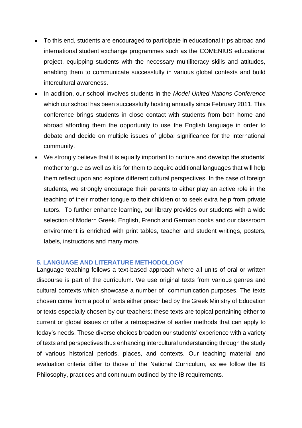- To this end, students are encouraged to participate in educational trips abroad and international student exchange programmes such as the COMENIUS educational project, equipping students with the necessary multiliteracy skills and attitudes, enabling them to communicate successfully in various global contexts and build intercultural awareness.
- In addition, our school involves students in the *Model United Nations Conference* which our school has been successfully hosting annually since February 2011. This conference brings students in close contact with students from both home and abroad affording them the opportunity to use the English language in order to debate and decide on multiple issues of global significance for the international community.
- We strongly believe that it is equally important to nurture and develop the students' mother tongue as well as it is for them to acquire additional languages that will help them reflect upon and explore different cultural perspectives. In the case of foreign students, we strongly encourage their parents to either play an active role in the teaching of their mother tongue to their children or to seek extra help from private tutors. To further enhance learning, our library provides our students with a wide selection of Modern Greek, English, French and German books and our classroom environment is enriched with print tables, teacher and student writings, posters, labels, instructions and many more.

#### **5. LANGUAGE AND LITERATURE METHODOLOGY**

Language teaching follows a text-based approach where all units of oral or written discourse is part of the curriculum. We use original texts from various genres and cultural contexts which showcase a number of communication purposes. The texts chosen come from a pool of texts either prescribed by the Greek Ministry of Education or texts especially chosen by our teachers; these texts are topical pertaining either to current or global issues or offer a retrospective of earlier methods that can apply to today's needs. These diverse choices broaden our students' experience with a variety of texts and perspectives thus enhancing intercultural understanding through the study of various historical periods, places, and contexts. Our teaching material and evaluation criteria differ to those of the National Curriculum, as we follow the IB Philosophy, practices and continuum outlined by the IB requirements.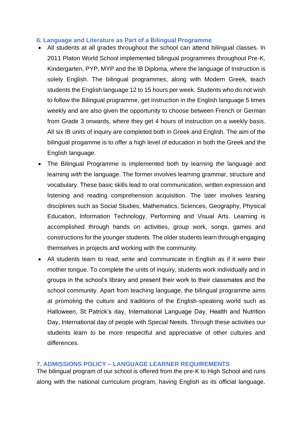### **6. Language and Literature as Part of a Bilingual Programme**

- All students at all grades throughout the school can attend bilingual classes. In 2011 Platon World School implemented bilingual programmes throughout Pre-K, Kindergarten, PYP, MYP and the IB Diploma, where the language of Instruction is solely English. The bilingual programmes, along with Modern Greek, teach students the English language 12 to 15 hours per week. Students who do not wish to follow the Bilingual programme, get instruction in the English language 5 times weekly and are also given the opportunity to choose between French or German from Grade 3 onwards, where they get 4 hours of instruction on a weekly basis. All six IB units of inquiry are completed both in Greek and English. The aim of the bilingual progamme is to offer a high level of education in both the Greek and the English language.
- The Bilingual Programme is implemented both by learning *the* language and learning *with* the language. The former involves learning grammar, structure and vocabulary. These basic skills lead to oral communication, written expression and listening and reading comprehension acquisition. The later involves leaning disciplines such as Social Studies, Mathematics, Sciences, Geography, Physical Education, Information Technology, Performing and Visual Arts. Learning is accomplished through hands on activities, group work, songs, games and constructions for the younger students. The older students learn through engaging themselves in projects and working with the community.
- All students learn to read, write and communicate in English as if it were their mother tongue. To complete the units of inquiry, students work individually and in groups in the school's library and present their work to their classmates and the school community. Apart from teaching language, the bilingual programme aims at promoting the culture and traditions of the English-speaking world such as Halloween, St Patrick's day, International Language Day, Health and Nutrition Day, International day of people with Special Needs. Through these activities our students learn to be more respectful and appreciative of other cultures and differences.

#### **7. ADMISSIONS POLICY – LANGUAGE LEARNER REQUIREMENTS**

The bilingual program of our school is offered from the pre-K to High School and runs along with the national curriculum program, having English as its official language.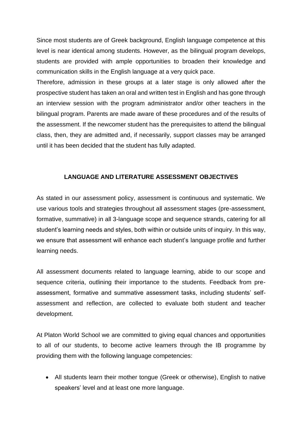Since most students are of Greek background, English language competence at this level is near identical among students. However, as the bilingual program develops, students are provided with ample opportunities to broaden their knowledge and communication skills in the English language at a very quick pace.

Therefore, admission in these groups at a later stage is only allowed after the prospective student has taken an oral and written test in English and has gone through an interview session with the program administrator and/or other teachers in the bilingual program. Parents are made aware of these procedures and of the results of the assessment. If the newcomer student has the prerequisites to attend the bilingual class, then, they are admitted and, if necessarily, support classes may be arranged until it has been decided that the student has fully adapted.

# **LANGUAGE AND LITERATURE ASSESSMENT OBJECTIVES**

As stated in our assessment policy, assessment is continuous and systematic. We use various tools and strategies throughout all assessment stages (pre-assessment, formative, summative) in all 3-language scope and sequence strands, catering for all student's learning needs and styles, both within or outside units of inquiry. In this way, we ensure that assessment will enhance each student's language profile and further learning needs.

All assessment documents related to language learning, abide to our scope and sequence criteria, outlining their importance to the students. Feedback from preassessment, formative and summative assessment tasks, including students' selfassessment and reflection, are collected to evaluate both student and teacher development.

At Platon World School we are committed to giving equal chances and opportunities to all of our students, to become active learners through the IB programme by providing them with the following language competencies:

• All students learn their mother tongue (Greek or otherwise), English to native speakers' level and at least one more language.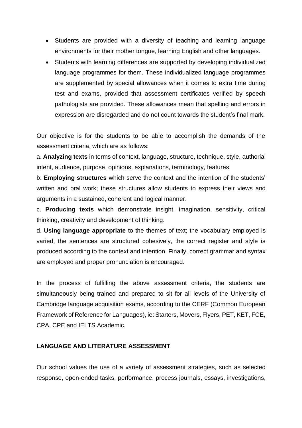- Students are provided with a diversity of teaching and learning language environments for their mother tongue, learning English and other languages.
- Students with learning differences are supported by developing individualized language programmes for them. These individualized language programmes are supplemented by special allowances when it comes to extra time during test and exams, provided that assessment certificates verified by speech pathologists are provided. These allowances mean that spelling and errors in expression are disregarded and do not count towards the student's final mark.

Our objective is for the students to be able to accomplish the demands of the assessment criteria, which are as follows:

a. **Analyzing texts** in terms of context, language, structure, technique, style, authorial intent, audience, purpose, opinions, explanations, terminology, features.

b. **Employing structures** which serve the context and the intention of the students' written and oral work; these structures allow students to express their views and arguments in a sustained, coherent and logical manner.

c. **Producing texts** which demonstrate insight, imagination, sensitivity, critical thinking, creativity and development of thinking.

d. **Using language appropriate** to the themes of text; the vocabulary employed is varied, the sentences are structured cohesively, the correct register and style is produced according to the context and intention. Finally, correct grammar and syntax are employed and proper pronunciation is encouraged.

In the process of fulfilling the above assessment criteria, the students are simultaneously being trained and prepared to sit for all levels of the University of Cambridge language acquisition exams, according to the CERF (Common European Framework of Reference for Languages), ie: Starters, Movers, Flyers, PET, KET, FCE, CPA, CPE and IELTS Academic.

# **LANGUAGE AND LITERATURE ASSESSMENT**

Our school values the use of a variety of assessment strategies, such as selected response, open-ended tasks, performance, process journals, essays, investigations,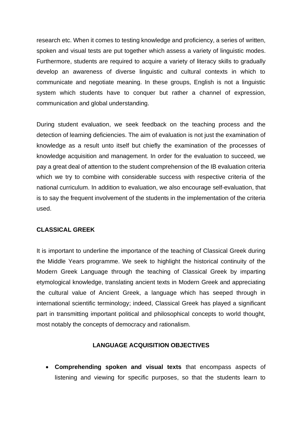research etc. When it comes to testing knowledge and proficiency, a series of written, spoken and visual tests are put together which assess a variety of linguistic modes. Furthermore, students are required to acquire a variety of literacy skills to gradually develop an awareness of diverse linguistic and cultural contexts in which to communicate and negotiate meaning. In these groups, English is not a linguistic system which students have to conquer but rather a channel of expression, communication and global understanding.

During student evaluation, we seek feedback on the teaching process and the detection of learning deficiencies. The aim of evaluation is not just the examination of knowledge as a result unto itself but chiefly the examination of the processes of knowledge acquisition and management. In order for the evaluation to succeed, we pay a great deal of attention to the student comprehension of the IB evaluation criteria which we try to combine with considerable success with respective criteria of the national curriculum. In addition to evaluation, we also encourage self-evaluation, that is to say the frequent involvement of the students in the implementation of the criteria used.

# **CLASSICAL GREEK**

It is important to underline the importance of the teaching of Classical Greek during the Middle Years programme. We seek to highlight the historical continuity of the Modern Greek Language through the teaching of Classical Greek by imparting etymological knowledge, translating ancient texts in Modern Greek and appreciating the cultural value of Ancient Greek, a language which has seeped through in international scientific terminology; indeed, Classical Greek has played a significant part in transmitting important political and philosophical concepts to world thought, most notably the concepts of democracy and rationalism.

# **LANGUAGE ACQUISITION OBJECTIVES**

• **Comprehending spoken and visual texts** that encompass aspects of listening and viewing for specific purposes, so that the students learn to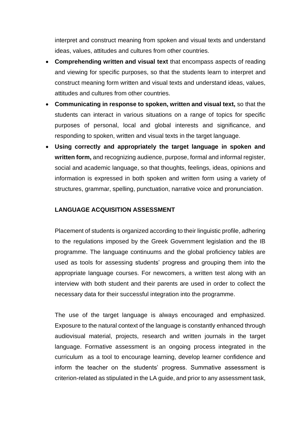interpret and construct meaning from spoken and visual texts and understand ideas, values, attitudes and cultures from other countries.

- **Comprehending written and visual text** that encompass aspects of reading and viewing for specific purposes, so that the students learn to interpret and construct meaning form written and visual texts and understand ideas, values, attitudes and cultures from other countries.
- **Communicating in response to spoken, written and visual text,** so that the students can interact in various situations on a range of topics for specific purposes of personal, local and global interests and significance, and responding to spoken, written and visual texts in the target language.
- **Using correctly and appropriately the target language in spoken and written form,** and recognizing audience, purpose, formal and informal register, social and academic language, so that thoughts, feelings, ideas, opinions and information is expressed in both spoken and written form using a variety of structures, grammar, spelling, punctuation, narrative voice and pronunciation.

# **LANGUAGE ACQUISITION ASSESSMENT**

Placement of students is organized according to their linguistic profile, adhering to the regulations imposed by the Greek Government legislation and the IB programme. The language continuums and the global proficiency tables are used as tools for assessing students' progress and grouping them into the appropriate language courses. For newcomers, a written test along with an interview with both student and their parents are used in order to collect the necessary data for their successful integration into the programme.

The use of the target language is always encouraged and emphasized. Exposure to the natural context of the language is constantly enhanced through audiovisual material, projects, research and written journals in the target language. Formative assessment is an ongoing process integrated in the curriculum as a tool to encourage learning, develop learner confidence and inform the teacher on the students' progress. Summative assessment is criterion-related as stipulated in the LA guide, and prior to any assessment task,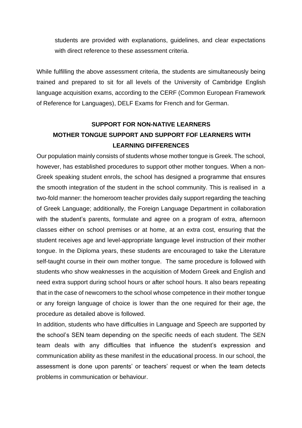students are provided with explanations, guidelines, and clear expectations with direct reference to these assessment criteria.

While fulfilling the above assessment criteria, the students are simultaneously being trained and prepared to sit for all levels of the University of Cambridge English language acquisition exams, according to the CERF (Common European Framework of Reference for Languages), DELF Exams for French and for German.

# **SUPPORT FOR NON-NATIVE LEARNERS MOTHER TONGUE SUPPORT AND SUPPORT FOF LEARNERS WITH LEARNING DIFFERENCES**

Our population mainly consists of students whose mother tongue is Greek. The school, however, has established procedures to support other mother tongues. When a non-Greek speaking student enrols, the school has designed a programme that ensures the smooth integration of the student in the school community. This is realised in a two-fold manner: the homeroom teacher provides daily support regarding the teaching of Greek Language; additionally, the Foreign Language Department in collaboration with the student's parents, formulate and agree on a program of extra, afternoon classes either on school premises or at home, at an extra cost, ensuring that the student receives age and level-appropriate language level instruction of their mother tongue. In the Diploma years, these students are encouraged to take the Literature self-taught course in their own mother tongue. The same procedure is followed with students who show weaknesses in the acquisition of Modern Greek and English and need extra support during school hours or after school hours. It also bears repeating that in the case of newcomers to the school whose competence in their mother tongue or any foreign language of choice is lower than the one required for their age, the procedure as detailed above is followed.

In addition, students who have difficulties in Language and Speech are supported by the school's SEN team depending on the specific needs of each student. The SEN team deals with any difficulties that influence the student's expression and communication ability as these manifest in the educational process. In our school, the assessment is done upon parents' or teachers' request or when the team detects problems in communication or behaviour.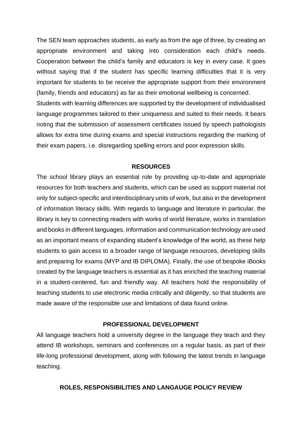The SEN team approaches students, as early as from the age of three, by creating an appropriate environment and taking into consideration each child's needs. Cooperation between the child's family and educators is key in every case. It goes without saying that if the student has specific learning difficulties that it is very important for students to be receive the appropriate support from their environment (family, friends and educators) as far as their emotional wellbeing is concerned.

Students with learning differences are supported by the development of individualised language programmes tailored to their uniqueness and suited to their needs. It bears noting that the submission of assessment certificates issued by speech pathologists allows for extra time during exams and special instructions regarding the marking of their exam papers, i.e. disregarding spelling errors and poor expression skills.

### **RESOURCES**

The school library plays an essential role by providing up-to-date and appropriate resources for both teachers and students, which can be used as support material not only for subject-specific and interdisciplinary units of work, but also in the development of information literacy skills. With regards to language and literature in particular, the library is key to connecting readers with works of world literature, works in translation and books in different languages. Information and communication technology are used as an important means of expanding student's knowledge of the world, as these help students to gain access to a broader range of language resources, developing skills and preparing for exams (MYP and IB DIPLOMA). Finally, the use of bespoke iBooks created by the language teachers is essential as it has enriched the teaching material in a student-centered, fun and friendly way. All teachers hold the responsibility of teaching students to use electronic media critically and diligently, so that students are made aware of the responsible use and limitations of data found online.

#### **PROFESSIONAL DEVELOPMENT**

All language teachers hold a university degree in the language they teach and they attend IB workshops, seminars and conferences on a regular basis, as part of their life-long professional development, along with following the latest trends in language teaching.

#### **ROLES, RESPONSIBILITIES AND LANGAUGE POLICY REVIEW**